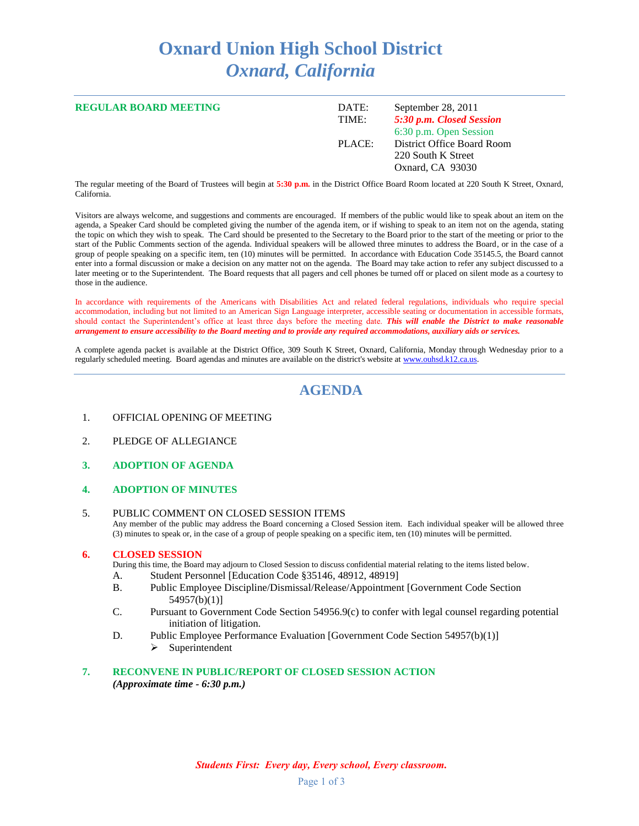# **Oxnard Union High School District** *Oxnard, California*

| <b>REGULAR BOARD MEETING</b> | DATE:<br>TIME: | September 28, 2011<br>5:30 p.m. Closed Session<br>6:30 p.m. Open Session |
|------------------------------|----------------|--------------------------------------------------------------------------|
|                              | PLACE:         | District Office Board Room<br>220 South K Street<br>Oxnard, CA 93030     |

The regular meeting of the Board of Trustees will begin at **5:30 p.m.** in the District Office Board Room located at 220 South K Street, Oxnard, California.

Visitors are always welcome, and suggestions and comments are encouraged. If members of the public would like to speak about an item on the agenda, a Speaker Card should be completed giving the number of the agenda item, or if wishing to speak to an item not on the agenda, stating the topic on which they wish to speak. The Card should be presented to the Secretary to the Board prior to the start of the meeting or prior to the start of the Public Comments section of the agenda. Individual speakers will be allowed three minutes to address the Board, or in the case of a group of people speaking on a specific item, ten (10) minutes will be permitted. In accordance with Education Code 35145.5, the Board cannot enter into a formal discussion or make a decision on any matter not on the agenda. The Board may take action to refer any subject discussed to a later meeting or to the Superintendent. The Board requests that all pagers and cell phones be turned off or placed on silent mode as a courtesy to those in the audience.

In accordance with requirements of the Americans with Disabilities Act and related federal regulations, individuals who require special accommodation, including but not limited to an American Sign Language interpreter, accessible seating or documentation in accessible formats, should contact the Superintendent's office at least three days before the meeting date. *This will enable the District to make reasonable arrangement to ensure accessibility to the Board meeting and to provide any required accommodations, auxiliary aids or services.*

A complete agenda packet is available at the District Office, 309 South K Street, Oxnard, California, Monday through Wednesday prior to a regularly scheduled meeting. Board agendas and minutes are available on the district's website a[t www.ouhsd.k12.ca.us.](http://www.ouhsd.k12.ca.us/)

## **AGENDA**

- 1. OFFICIAL OPENING OF MEETING
- 2. PLEDGE OF ALLEGIANCE
- **3. ADOPTION OF AGENDA**
- **4. ADOPTION OF MINUTES**
- 5. PUBLIC COMMENT ON CLOSED SESSION ITEMS Any member of the public may address the Board concerning a Closed Session item. Each individual speaker will be allowed three (3) minutes to speak or, in the case of a group of people speaking on a specific item, ten (10) minutes will be permitted.

#### **6. CLOSED SESSION**

- During this time, the Board may adjourn to Closed Session to discuss confidential material relating to the items listed below.
- A. Student Personnel [Education Code §35146, 48912, 48919]
- B. Public Employee Discipline/Dismissal/Release/Appointment [Government Code Section 54957(b)(1)]
- C. Pursuant to Government Code Section 54956.9(c) to confer with legal counsel regarding potential initiation of litigation.
- D. Public Employee Performance Evaluation [Government Code Section 54957(b)(1)]  $\triangleright$  Superintendent

#### **7. RECONVENE IN PUBLIC/REPORT OF CLOSED SESSION ACTION** *(Approximate time - 6:30 p.m.)*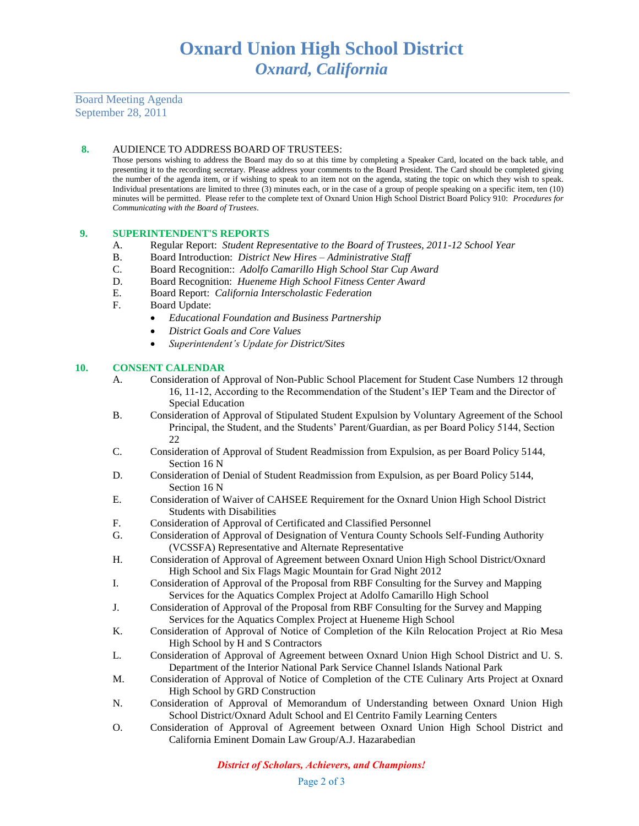Board Meeting Agenda September 28, 2011

### **8.** AUDIENCE TO ADDRESS BOARD OF TRUSTEES:

Those persons wishing to address the Board may do so at this time by completing a Speaker Card, located on the back table, and presenting it to the recording secretary. Please address your comments to the Board President. The Card should be completed giving the number of the agenda item, or if wishing to speak to an item not on the agenda, stating the topic on which they wish to speak. Individual presentations are limited to three (3) minutes each, or in the case of a group of people speaking on a specific item, ten (10) minutes will be permitted. Please refer to the complete text of Oxnard Union High School District Board Policy 910: *Procedures for Communicating with the Board of Trustees*.

### **9. SUPERINTENDENT'S REPORTS**

- A. Regular Report: *Student Representative to the Board of Trustees, 2011-12 School Year*
- B. Board Introduction: *District New Hires Administrative Staff* C. Board Recognition:: *Adolfo Camarillo High School Star Cup i*
- Board Recognition:: *Adolfo Camarillo High School Star Cup Award*
- D. Board Recognition: *Hueneme High School Fitness Center Award*
- E. Board Report: *California Interscholastic Federation*
- F. Board Update:
	- *Educational Foundation and Business Partnership*
	- *District Goals and Core Values*
	- *Superintendent's Update for District/Sites*

#### **10. CONSENT CALENDAR**

- A. Consideration of Approval of Non-Public School Placement for Student Case Numbers 12 through 16, 11-12, According to the Recommendation of the Student's IEP Team and the Director of Special Education
- B. Consideration of Approval of Stipulated Student Expulsion by Voluntary Agreement of the School Principal, the Student, and the Students' Parent/Guardian, as per Board Policy 5144, Section 22
- C. Consideration of Approval of Student Readmission from Expulsion, as per Board Policy 5144, Section 16 N
- D. Consideration of Denial of Student Readmission from Expulsion, as per Board Policy 5144, Section 16 N
- E. Consideration of Waiver of CAHSEE Requirement for the Oxnard Union High School District Students with Disabilities
- F. Consideration of Approval of Certificated and Classified Personnel
- G. Consideration of Approval of Designation of Ventura County Schools Self-Funding Authority (VCSSFA) Representative and Alternate Representative
- H. Consideration of Approval of Agreement between Oxnard Union High School District/Oxnard High School and Six Flags Magic Mountain for Grad Night 2012
- I. Consideration of Approval of the Proposal from RBF Consulting for the Survey and Mapping Services for the Aquatics Complex Project at Adolfo Camarillo High School
- J. Consideration of Approval of the Proposal from RBF Consulting for the Survey and Mapping Services for the Aquatics Complex Project at Hueneme High School
- K. Consideration of Approval of Notice of Completion of the Kiln Relocation Project at Rio Mesa High School by H and S Contractors
- L. Consideration of Approval of Agreement between Oxnard Union High School District and U. S. Department of the Interior National Park Service Channel Islands National Park
- M. Consideration of Approval of Notice of Completion of the CTE Culinary Arts Project at Oxnard High School by GRD Construction
- N. Consideration of Approval of Memorandum of Understanding between Oxnard Union High School District/Oxnard Adult School and El Centrito Family Learning Centers
- O. Consideration of Approval of Agreement between Oxnard Union High School District and California Eminent Domain Law Group/A.J. Hazarabedian

*District of Scholars, Achievers, and Champions!*